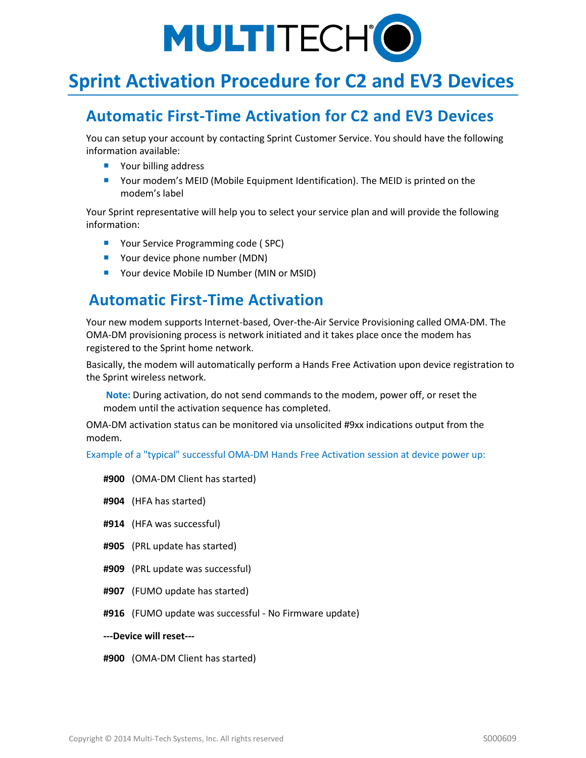

# **Sprint Activation Procedure for C2 and EV3 Devices**

## **Automatic First-Time Activation for C2 and EV3 Devices**

You can setup your account by contacting Sprint Customer Service. You should have the following information available:

- Your billing address
- Your modem's MEID (Mobile Equipment Identification). The MEID is printed on the modem's label

Your Sprint representative will help you to select your service plan and will provide the following information:

- Your Service Programming code (SPC)
- Your device phone number (MDN)
- Your device Mobile ID Number (MIN or MSID)

### **Automatic First-Time Activation**

Your new modem supports Internet-based, Over-the-Air Service Provisioning called OMA-DM. The OMA-DM provisioning process is network initiated and it takes place once the modem has registered to the Sprint home network.

Basically, the modem will automatically perform a Hands Free Activation upon device registration to the Sprint wireless network.

**Note:** During activation, do not send commands to the modem, power off, or reset the modem until the activation sequence has completed.

OMA-DM activation status can be monitored via unsolicited #9xx indications output from the modem.

Example of a "typical" successful OMA-DM Hands Free Activation session at device power up:

- **#900** (OMA-DM Client has started)
- **#904** (HFA has started)
- **#914** (HFA was successful)
- **#905** (PRL update has started)
- **#909** (PRL update was successful)
- **#907** (FUMO update has started)
- **#916** (FUMO update was successful No Firmware update)
- **---Device will reset---**

**#900** (OMA-DM Client has started)